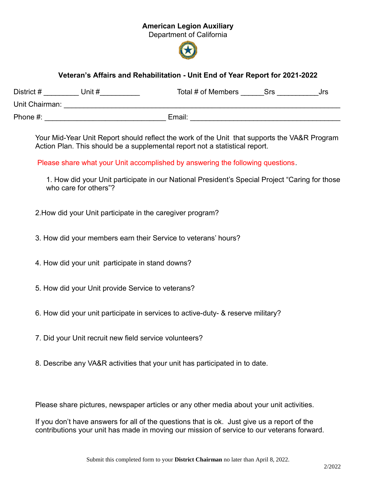## American Legion Auxiliary

Department of California



## Veteran's Affairs and Rehabilitation - Unit End of Year Report for 2021-2022

| District #<br>Unit # | Total # of Members<br>Srs<br>Jrs |
|----------------------|----------------------------------|
| Unit Chairman:       |                                  |
| Phone #:             | Email:                           |

Your Mid-Year Unit Report should reflect the work of the Unit that supports the VA&R Program Action Plan. This should be a supplemental report not a statistical report.

Please share what your Unit accomplished by answering the following questions.

1. How did your Unit participate in our National President's Special Project "Caring for those who care for others"?

2.How did your Unit participate in the caregiver program?

3. How did your members earn their Service to veterans' hours?

4. How did your unit participate in stand downs?

5. How did your Unit provide Service to veterans?

6. How did your unit participate in services to active-duty- & reserve military?

7. Did your Unit recruit new field service volunteers?

8. Describe any VA&R activities that your unit has participated in to date.

Please share pictures, newspaper articles or any other media about your unit activities.

If you don't have answers for all of the questions that is ok. Just give us a report of the contributions your unit has made in moving our mission of service to our veterans forward.